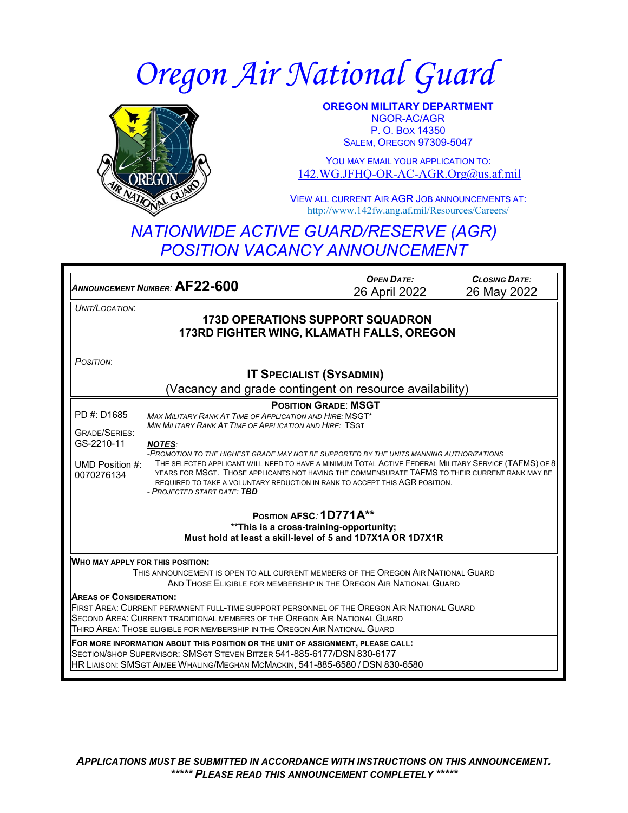# *Oregon Air National Guard*



**OREGON MILITARY DEPARTMENT** NGOR-AC/AGR P. O. BOX 14350 SALEM, OREGON 97309-5047

YOU MAY EMAIL YOUR APPLICATION TO: [142.WG.JFHQ-OR-AC-AGR.Org@us.af.mil](mailto:142.WG.JFHQ-OR-AC-AGR.Org@us.af.mil)

VIEW ALL CURRENT AIR AGR JOB ANNOUNCEMENTS AT: http://www.142fw.ang.af.mil/Resources/Careers/

# *NATIONWIDE ACTIVE GUARD/RESERVE (AGR) POSITION VACANCY ANNOUNCEMENT*

*ANNOUNCEMENT NUMBER:* **AF22-600** *OPEN DATE:* 26 April 2022 *CLOSING DATE:* 26 May 2022 *UNIT/LOCATION*: **173D OPERATIONS SUPPORT SQUADRON 173RD FIGHTER WING, KLAMATH FALLS, OREGON** *POSITION*: **IT SPECIALIST (SYSADMIN)**  (Vacancy and grade contingent on resource availability) PD #: D1685 GRADE/SERIES: GS-2210-11 UMD Position #: THE SELECTED APPLICANT WILL NEED TO HAVE A MINIMUM TOTAL ACTIVE FEDERAL MILITARY SERVICE (TAFMS) OF 8 0070276134 **POSITION GRADE**: **MSGT** *MAX MILITARY RANK AT TIME OF APPLICATION AND HIRE:* MSGT\* *MIN MILITARY RANK AT TIME OF APPLICATION AND HIRE:* TSGT *NOTES: -PROMOTION TO THE HIGHEST GRADE MAY NOT BE SUPPORTED BY THE UNITS MANNING AUTHORIZATIONS* YEARS FOR MSGT. THOSE APPLICANTS NOT HAVING THE COMMENSURATE TAFMS TO THEIR CURRENT RANK MAY BE REQUIRED TO TAKE A VOLUNTARY REDUCTION IN RANK TO ACCEPT THIS AGR POSITION. *- PROJECTED START DATE: TBD* **POSITION AFSC***:* **1D771A\*\* \*\*This is a cross-training-opportunity; Must hold at least a skill-level of 5 and 1D7X1A OR 1D7X1R WHO MAY APPLY FOR THIS POSITION:** THIS ANNOUNCEMENT IS OPEN TO ALL CURRENT MEMBERS OF THE OREGON AIR NATIONAL GUARD AND THOSE ELIGIBLE FOR MEMBERSHIP IN THE OREGON AIR NATIONAL GUARD **AREAS OF CONSIDERATION:** FIRST AREA: CURRENT PERMANENT FULL-TIME SUPPORT PERSONNEL OF THE OREGON AIR NATIONAL GUARD SECOND AREA: CURRENT TRADITIONAL MEMBERS OF THE OREGON AIR NATIONAL GUARD THIRD AREA: THOSE ELIGIBLE FOR MEMBERSHIP IN THE OREGON AIR NATIONAL GUARD **FOR MORE INFORMATION ABOUT THIS POSITION OR THE UNIT OF ASSIGNMENT, PLEASE CALL:** SECTION/SHOP SUPERVISOR: SMSGT STEVEN BITZER 541-885-6177/DSN 830-6177 HR LIAISON: SMSGT AIMEE WHALING/MEGHAN MCMACKIN, 541-885-6580 / DSN 830-6580

*APPLICATIONS MUST BE SUBMITTED IN ACCORDANCE WITH INSTRUCTIONS ON THIS ANNOUNCEMENT. \*\*\*\*\* PLEASE READ THIS ANNOUNCEMENT COMPLETELY \*\*\*\*\**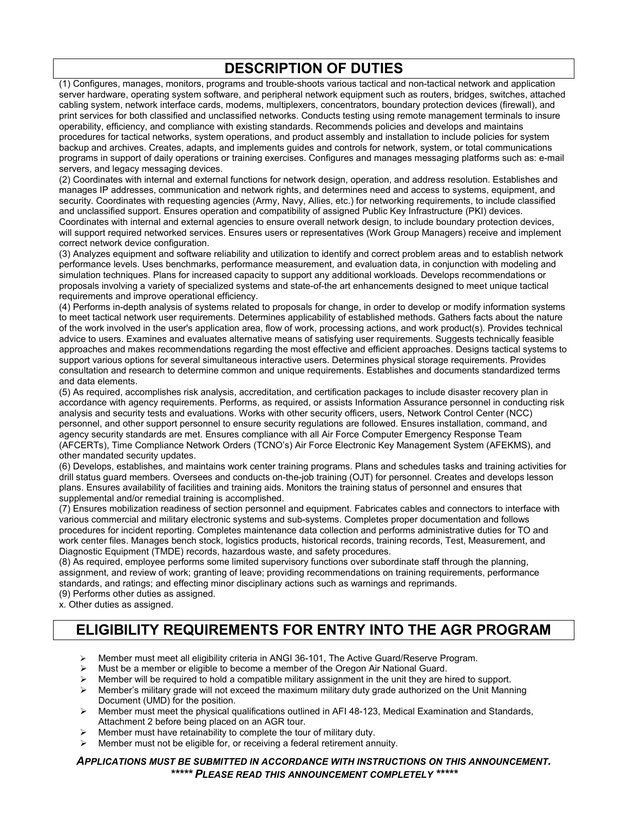## **DESCRIPTION OF DUTIES**

(1) Configures, manages, monitors, programs and trouble-shoots various tactical and non-tactical network and application server hardware, operating system software, and peripheral network equipment such as routers, bridges, switches, attached cabling system, network interface cards, modems, multiplexers, concentrators, boundary protection devices (firewall), and print services for both classified and unclassified networks. Conducts testing using remote management terminals to insure operability, efficiency, and compliance with existing standards. Recommends policies and develops and maintains procedures for tactical networks, system operations, and product assembly and installation to include policies for system backup and archives. Creates, adapts, and implements guides and controls for network, system, or total communications programs in support of daily operations or training exercises. Configures and manages messaging platforms such as: e-mail servers, and legacy messaging devices.

(2) Coordinates with internal and external functions for network design, operation, and address resolution. Establishes and manages IP addresses, communication and network rights, and determines need and access to systems, equipment, and security. Coordinates with requesting agencies (Army, Navy, Allies, etc.) for networking requirements, to include classified and unclassified support. Ensures operation and compatibility of assigned Public Key Infrastructure (PKI) devices. Coordinates with internal and external agencies to ensure overall network design, to include boundary protection devices, will support required networked services. Ensures users or representatives (Work Group Managers) receive and implement correct network device configuration.

(3) Analyzes equipment and software reliability and utilization to identify and correct problem areas and to establish network performance levels. Uses benchmarks, performance measurement, and evaluation data, in conjunction with modeling and simulation techniques. Plans for increased capacity to support any additional workloads. Develops recommendations or proposals involving a variety of specialized systems and state-of-the art enhancements designed to meet unique tactical requirements and improve operational efficiency.

(4) Performs in-depth analysis of systems related to proposals for change, in order to develop or modify information systems to meet tactical network user requirements. Determines applicability of established methods. Gathers facts about the nature of the work involved in the user's application area, flow of work, processing actions, and work product(s). Provides technical advice to users. Examines and evaluates alternative means of satisfying user requirements. Suggests technically feasible approaches and makes recommendations regarding the most effective and efficient approaches. Designs tactical systems to support various options for several simultaneous interactive users. Determines physical storage requirements. Provides consultation and research to determine common and unique requirements. Establishes and documents standardized terms and data elements.

(5) As required, accomplishes risk analysis, accreditation, and certification packages to include disaster recovery plan in accordance with agency requirements. Performs, as required, or assists Information Assurance personnel in conducting risk analysis and security tests and evaluations. Works with other security officers, users, Network Control Center (NCC) personnel, and other support personnel to ensure security regulations are followed. Ensures installation, command, and agency security standards are met. Ensures compliance with all Air Force Computer Emergency Response Team (AFCERTs), Time Compliance Network Orders (TCNO's) Air Force Electronic Key Management System (AFEKMS), and other mandated security updates.

(6) Develops, establishes, and maintains work center training programs. Plans and schedules tasks and training activities for drill status guard members. Oversees and conducts on-the-job training (OJT) for personnel. Creates and develops lesson plans. Ensures availability of facilities and training aids. Monitors the training status of personnel and ensures that supplemental and/or remedial training is accomplished.

(7) Ensures mobilization readiness of section personnel and equipment. Fabricates cables and connectors to interface with various commercial and military electronic systems and sub-systems. Completes proper documentation and follows procedures for incident reporting. Completes maintenance data collection and performs administrative duties for TO and work center files. Manages bench stock, logistics products, historical records, training records, Test, Measurement, and Diagnostic Equipment (TMDE) records, hazardous waste, and safety procedures.

(8) As required, employee performs some limited supervisory functions over subordinate staff through the planning, assignment, and review of work; granting of leave; providing recommendations on training requirements, performance standards, and ratings; and effecting minor disciplinary actions such as warnings and reprimands.

(9) Performs other duties as assigned.

x. Other duties as assigned.

## **ELIGIBILITY REQUIREMENTS FOR ENTRY INTO THE AGR PROGRAM**

- Member must meet all eligibility criteria in ANGI 36-101, The Active Guard/Reserve Program.
- $\triangleright$  Must be a member or eligible to become a member of the Oregon Air National Guard.
- Member will be required to hold a compatible military assignment in the unit they are hired to support.<br>Member's military grade will not exceed the maximum military duty grade authorized on the Unit Mann
- Member's military grade will not exceed the maximum military duty grade authorized on the Unit Manning Document (UMD) for the position.
- Member must meet the physical qualifications outlined in AFI 48-123, Medical Examination and Standards, Attachment 2 before being placed on an AGR tour.
- Member must have retainability to complete the tour of military duty.
- $\triangleright$  Member must not be eligible for, or receiving a federal retirement annuity.

*APPLICATIONS MUST BE SUBMITTED IN ACCORDANCE WITH INSTRUCTIONS ON THIS ANNOUNCEMENT. \*\*\*\*\* PLEASE READ THIS ANNOUNCEMENT COMPLETELY \*\*\*\*\**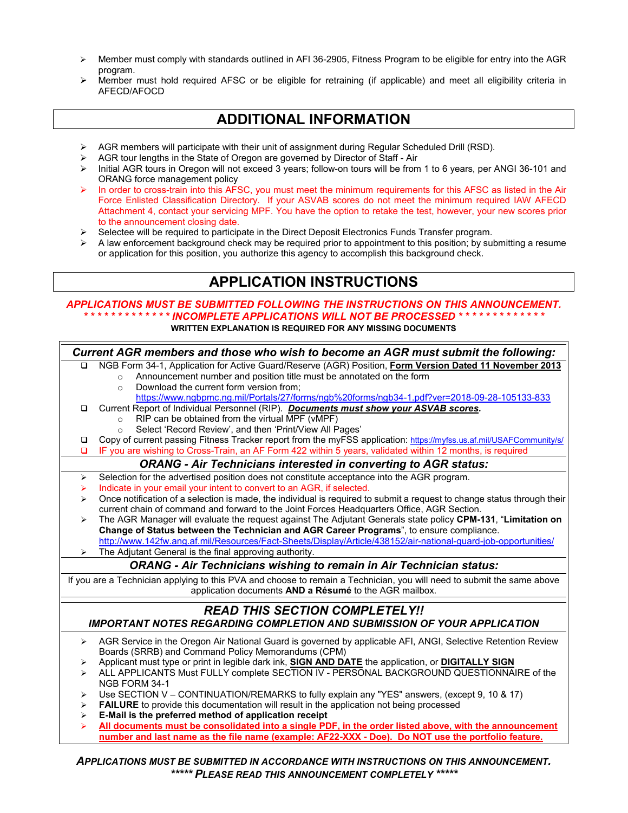- $\triangleright$  Member must comply with standards outlined in AFI 36-2905, Fitness Program to be eligible for entry into the AGR program.
- $\triangleright$  Member must hold required AFSC or be eligible for retraining (if applicable) and meet all eligibility criteria in AFECD/AFOCD

### **ADDITIONAL INFORMATION**

- ▶ AGR members will participate with their unit of assignment during Regular Scheduled Drill (RSD).
- $\triangleright$  AGR tour lengths in the State of Oregon are governed by Director of Staff Air  $\triangleright$  Initial AGR tours in Oregon will not exceed 3 years: follow-on tours will be from
- Initial AGR tours in Oregon will not exceed 3 years; follow-on tours will be from 1 to 6 years, per ANGI 36-101 and ORANG force management policy
- In order to cross-train into this AFSC, you must meet the minimum requirements for this AFSC as listed in the Air Force Enlisted Classification Directory. If your ASVAB scores do not meet the minimum required IAW AFECD Attachment 4, contact your servicing MPF. You have the option to retake the test, however, your new scores prior to the announcement closing date.
- $\triangleright$  Selectee will be required to participate in the Direct Deposit Electronics Funds Transfer program.
- $\triangleright$  A law enforcement background check may be required prior to appointment to this position; by submitting a resume or application for this position, you authorize this agency to accomplish this background check.

#### **APPLICATION INSTRUCTIONS**

#### *APPLICATIONS MUST BE SUBMITTED FOLLOWING THE INSTRUCTIONS ON THIS ANNOUNCEMENT. \* \* \* \* \* \* \* \* \* \* \* \* \* INCOMPLETE APPLICATIONS WILL NOT BE PROCESSED \* \* \* \* \* \* \* \* \* \* \* \* \** **WRITTEN EXPLANATION IS REQUIRED FOR ANY MISSING DOCUMENTS**

| Current AGR members and those who wish to become an AGR must submit the following:                                     |                                                                                                                                                                    |
|------------------------------------------------------------------------------------------------------------------------|--------------------------------------------------------------------------------------------------------------------------------------------------------------------|
| □                                                                                                                      | NGB Form 34-1, Application for Active Guard/Reserve (AGR) Position, Form Version Dated 11 November 2013                                                            |
|                                                                                                                        | Announcement number and position title must be annotated on the form<br>$\circ$                                                                                    |
|                                                                                                                        | Download the current form version from;<br>$\circ$                                                                                                                 |
|                                                                                                                        | https://www.ngbpmc.ng.mil/Portals/27/forms/ngb%20forms/ngb34-1.pdf?ver=2018-09-28-105133-833                                                                       |
| □                                                                                                                      | Current Report of Individual Personnel (RIP). Documents must show your ASVAB scores.                                                                               |
|                                                                                                                        | RIP can be obtained from the virtual MPF (vMPF)<br>$\circ$                                                                                                         |
|                                                                                                                        | Select 'Record Review', and then 'Print/View All Pages'<br>$\circ$                                                                                                 |
| □                                                                                                                      | Copy of current passing Fitness Tracker report from the myFSS application: https://myfss.us.af.mil/USAFCommunity/s/                                                |
| ◻                                                                                                                      | IF you are wishing to Cross-Train, an AF Form 422 within 5 years, validated within 12 months, is required                                                          |
| <b>ORANG - Air Technicians interested in converting to AGR status:</b>                                                 |                                                                                                                                                                    |
| ➤                                                                                                                      | Selection for the advertised position does not constitute acceptance into the AGR program.                                                                         |
| ➤                                                                                                                      | Indicate in your email your intent to convert to an AGR, if selected.                                                                                              |
| ➤                                                                                                                      | Once notification of a selection is made, the individual is required to submit a request to change status through their                                            |
|                                                                                                                        | current chain of command and forward to the Joint Forces Headquarters Office, AGR Section.                                                                         |
| ⋗                                                                                                                      | The AGR Manager will evaluate the request against The Adjutant Generals state policy CPM-131, "Limitation on                                                       |
|                                                                                                                        | Change of Status between the Technician and AGR Career Programs", to ensure compliance.                                                                            |
|                                                                                                                        | http://www.142fw.ang.af.mil/Resources/Fact-Sheets/Display/Article/438152/air-national-guard-job-opportunities/                                                     |
|                                                                                                                        | The Adjutant General is the final approving authority.                                                                                                             |
| <b>ORANG - Air Technicians wishing to remain in Air Technician status:</b>                                             |                                                                                                                                                                    |
| If you are a Technician applying to this PVA and choose to remain a Technician, you will need to submit the same above |                                                                                                                                                                    |
| application documents AND a Résumé to the AGR mailbox.                                                                 |                                                                                                                                                                    |
| <b>READ THIS SECTION COMPLETELY!!</b>                                                                                  |                                                                                                                                                                    |
| <b>IMPORTANT NOTES REGARDING COMPLETION AND SUBMISSION OF YOUR APPLICATION</b>                                         |                                                                                                                                                                    |
|                                                                                                                        |                                                                                                                                                                    |
| ➤                                                                                                                      | AGR Service in the Oregon Air National Guard is governed by applicable AFI, ANGI, Selective Retention Review<br>Boards (SRRB) and Command Policy Memorandums (CPM) |
|                                                                                                                        | Applicant must type or print in legible dark ink, <b>SIGN AND DATE</b> the application, or <b>DIGITALLY SIGN</b>                                                   |
| ⋗<br>⋗                                                                                                                 | ALL APPLICANTS Must FULLY complete SECTION IV - PERSONAL BACKGROUND QUESTIONNAIRE of the                                                                           |
|                                                                                                                        | NGB FORM 34-1                                                                                                                                                      |
| ➤                                                                                                                      | Use SECTION V - CONTINUATION/REMARKS to fully explain any "YES" answers, (except 9, 10 & 17)                                                                       |
| ⋗                                                                                                                      | <b>FAILURE</b> to provide this documentation will result in the application not being processed                                                                    |
| ⋗                                                                                                                      | E-Mail is the preferred method of application receipt                                                                                                              |
| ⋗                                                                                                                      | All documents must be consolidated into a single PDF, in the order listed above, with the announcement                                                             |
|                                                                                                                        | number and last name as the file name (example: AF22-XXX - Doe). Do NOT use the portfolio feature.                                                                 |
|                                                                                                                        |                                                                                                                                                                    |
| A DDI ICATIONS MIIST DE<br><b>CURMITTED IN ACCORDANCE WITH INCTRUCTIONS ON THIS ANNOUNCER</b>                          |                                                                                                                                                                    |

*APPLICATIONS MUST BE SUBMITTED IN ACCORDANCE WITH INSTRUCTIONS ON THIS ANNOUNCEMENT. \*\*\*\*\* PLEASE READ THIS ANNOUNCEMENT COMPLETELY \*\*\*\*\**